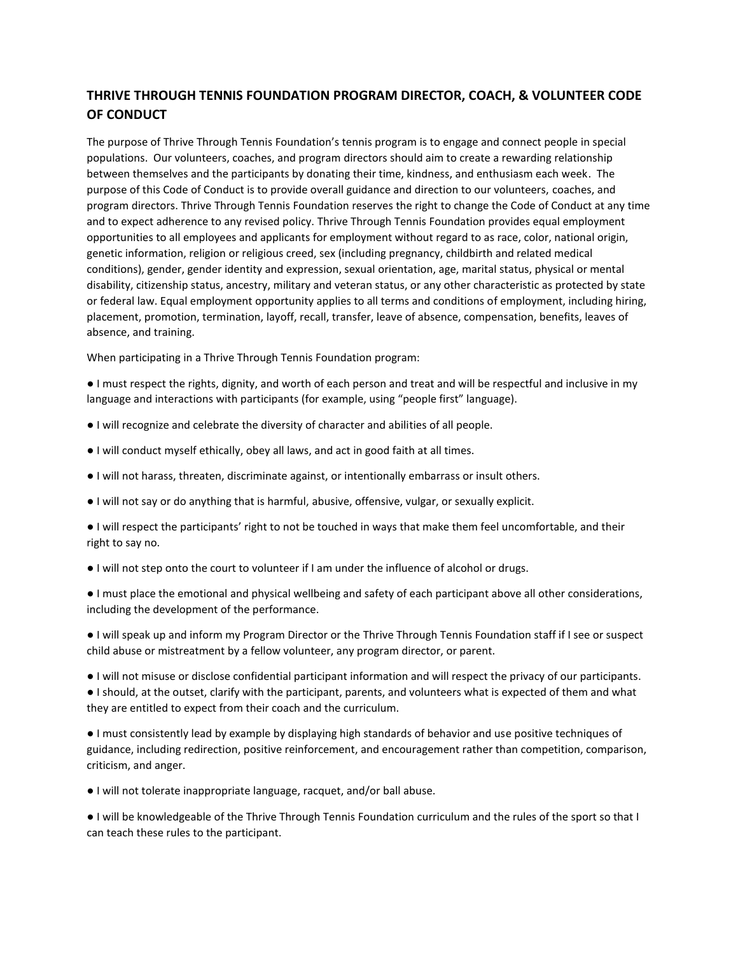## **THRIVE THROUGH TENNIS FOUNDATION PROGRAM DIRECTOR, COACH, & VOLUNTEER CODE OF CONDUCT**

The purpose of Thrive Through Tennis Foundation's tennis program is to engage and connect people in special populations. Our volunteers, coaches, and program directors should aim to create a rewarding relationship between themselves and the participants by donating their time, kindness, and enthusiasm each week. The purpose of this Code of Conduct is to provide overall guidance and direction to our volunteers, coaches, and program directors. Thrive Through Tennis Foundation reserves the right to change the Code of Conduct at any time and to expect adherence to any revised policy. Thrive Through Tennis Foundation provides equal employment opportunities to all employees and applicants for employment without regard to as race, color, national origin, genetic information, religion or religious creed, sex (including pregnancy, childbirth and related medical conditions), gender, gender identity and expression, sexual orientation, age, marital status, physical or mental disability, citizenship status, ancestry, military and veteran status, or any other characteristic as protected by state or federal law. Equal employment opportunity applies to all terms and conditions of employment, including hiring, placement, promotion, termination, layoff, recall, transfer, leave of absence, compensation, benefits, leaves of absence, and training.

When participating in a Thrive Through Tennis Foundation program:

● I must respect the rights, dignity, and worth of each person and treat and will be respectful and inclusive in my language and interactions with participants (for example, using "people first" language).

- I will recognize and celebrate the diversity of character and abilities of all people.
- I will conduct myself ethically, obey all laws, and act in good faith at all times.
- I will not harass, threaten, discriminate against, or intentionally embarrass or insult others.
- I will not say or do anything that is harmful, abusive, offensive, vulgar, or sexually explicit.

● I will respect the participants' right to not be touched in ways that make them feel uncomfortable, and their right to say no.

● I will not step onto the court to volunteer if I am under the influence of alcohol or drugs.

● I must place the emotional and physical wellbeing and safety of each participant above all other considerations, including the development of the performance.

● I will speak up and inform my Program Director or the Thrive Through Tennis Foundation staff if I see or suspect child abuse or mistreatment by a fellow volunteer, any program director, or parent.

● I will not misuse or disclose confidential participant information and will respect the privacy of our participants. ● I should, at the outset, clarify with the participant, parents, and volunteers what is expected of them and what they are entitled to expect from their coach and the curriculum.

● I must consistently lead by example by displaying high standards of behavior and use positive techniques of guidance, including redirection, positive reinforcement, and encouragement rather than competition, comparison, criticism, and anger.

● I will not tolerate inappropriate language, racquet, and/or ball abuse.

● I will be knowledgeable of the Thrive Through Tennis Foundation curriculum and the rules of the sport so that I can teach these rules to the participant.